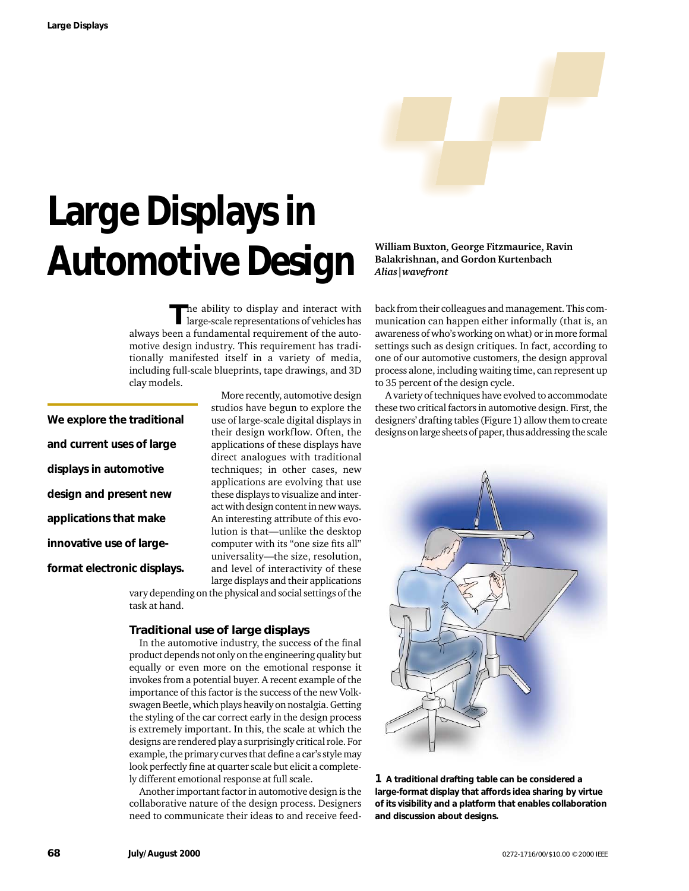

# **Large Displays in Automotive Design**

**William Buxton, George Fitzmaurice, Ravin Balakrishnan, and Gordon Kurtenbach** *Alias|wavefront*

The ability to display and interact with large-scale representations of vehicles has always been a fundamental requirement of the automotive design industry. This requirement has traditionally manifested itself in a variety of media, including full-scale blueprints, tape drawings, and 3D clay models.

**We explore the traditional and current uses of large displays in automotive design and present new applications that make innovative use of largeformat electronic displays.**

More recently, automotive design studios have begun to explore the use of large-scale digital displays in their design workflow. Often, the applications of these displays have direct analogues with traditional techniques; in other cases, new applications are evolving that use these displays to visualize and interact with design content in new ways. An interesting attribute of this evolution is that—unlike the desktop computer with its "one size fits all" universality—the size, resolution, and level of interactivity of these large displays and their applications

vary depending on the physical and social settings of the task at hand.

# **Traditional use of large displays**

In the automotive industry, the success of the final product depends not only on the engineering quality but equally or even more on the emotional response it invokes from a potential buyer. A recent example of the importance of this factor is the success of the new Volkswagen Beetle, which plays heavily on nostalgia. Getting the styling of the car correct early in the design process is extremely important. In this, the scale at which the designs are rendered play a surprisingly critical role. For example, the primary curves that define a car's style may look perfectly fine at quarter scale but elicit a completely different emotional response at full scale.

Another important factor in automotive design is the collaborative nature of the design process. Designers need to communicate their ideas to and receive feedback from their colleagues and management. This communication can happen either informally (that is, an awareness of who's working on what) or in more formal settings such as design critiques. In fact, according to one of our automotive customers, the design approval process alone, including waiting time, can represent up to 35 percent of the design cycle.

A variety of techniques have evolved to accommodate these two critical factors in automotive design. First, the designers' drafting tables (Figure 1) allow them to create designs on large sheets of paper, thus addressing the scale



**1 A traditional drafting table can be considered a large-format display that affords idea sharing by virtue of its visibility and a platform that enables collaboration and discussion about designs.**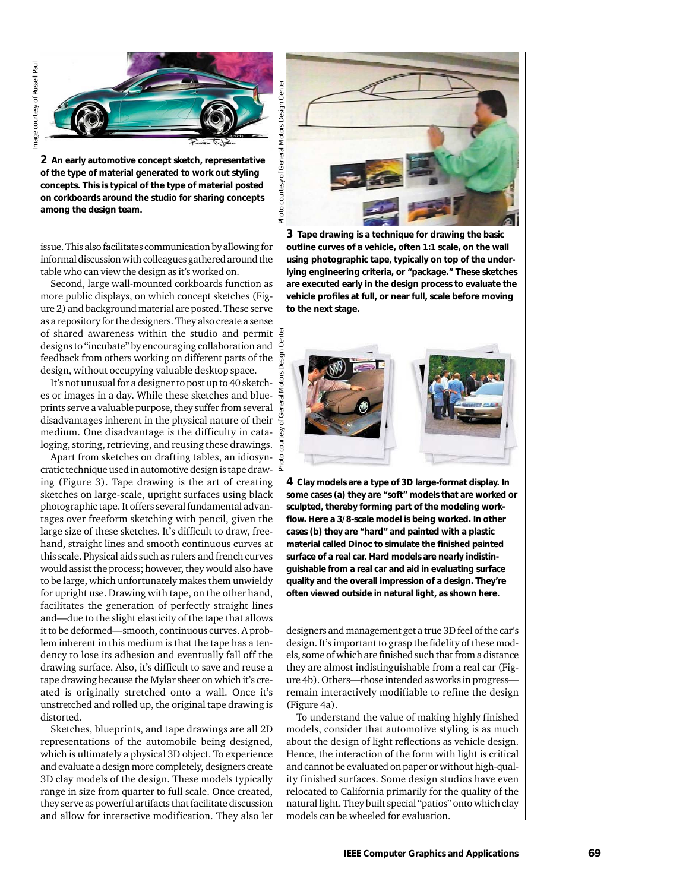

**2 An early automotive concept sketch, representative of the type of material generated to work out styling concepts. This is typical of the type of material posted on corkboards around the studio for sharing concepts among the design team.**

issue. This also facilitates communication by allowing for informal discussion with colleagues gathered around the table who can view the design as it's worked on.

Second, large wall-mounted corkboards function as more public displays, on which concept sketches (Figure 2) and background material are posted. These serve as a repository for the designers. They also create a sense of shared awareness within the studio and permit designs to "incubate" by encouraging collaboration and feedback from others working on different parts of the design, without occupying valuable desktop space.

It's not unusual for a designer to post up to 40 sketches or images in a day. While these sketches and blueprints serve a valuable purpose, they suffer from several disadvantages inherent in the physical nature of their medium. One disadvantage is the difficulty in cataloging, storing, retrieving, and reusing these drawings.

Apart from sketches on drafting tables, an idiosyncratic technique used in automotive design is tape drawing (Figure 3). Tape drawing is the art of creating sketches on large-scale, upright surfaces using black photographic tape. It offers several fundamental advantages over freeform sketching with pencil, given the large size of these sketches. It's difficult to draw, freehand, straight lines and smooth continuous curves at this scale. Physical aids such as rulers and french curves would assist the process; however, they would also have to be large, which unfortunately makes them unwieldy for upright use. Drawing with tape, on the other hand, facilitates the generation of perfectly straight lines and—due to the slight elasticity of the tape that allows it to be deformed—smooth, continuous curves. A problem inherent in this medium is that the tape has a tendency to lose its adhesion and eventually fall off the drawing surface. Also, it's difficult to save and reuse a tape drawing because the Mylar sheet on which it's created is originally stretched onto a wall. Once it's unstretched and rolled up, the original tape drawing is distorted.

Sketches, blueprints, and tape drawings are all 2D representations of the automobile being designed, which is ultimately a physical 3D object. To experience and evaluate a design more completely, designers create 3D clay models of the design. These models typically range in size from quarter to full scale. Once created, they serve as powerful artifacts that facilitate discussion and allow for interactive modification. They also let



**3 Tape drawing is a technique for drawing the basic outline curves of a vehicle, often 1:1 scale, on the wall using photographic tape, typically on top of the underlying engineering criteria, or "package." These sketches are executed early in the design process to evaluate the vehicle profiles at full, or near full, scale before moving to the next stage.** 



**4 Clay models are a type of 3D large-format display. In some cases (a) they are "soft" models that are worked or sculpted, thereby forming part of the modeling workflow. Here a 3/8-scale model is being worked. In other cases (b) they are "hard" and painted with a plastic material called Dinoc to simulate the finished painted surface of a real car. Hard models are nearly indistinguishable from a real car and aid in evaluating surface quality and the overall impression of a design. They're often viewed outside in natural light, as shown here.**

designers and management get a true 3D feel of the car's design. It's important to grasp the fidelity of these models, some of which are finished such that from a distance they are almost indistinguishable from a real car (Figure 4b). Others—those intended as works in progress remain interactively modifiable to refine the design (Figure 4a).

To understand the value of making highly finished models, consider that automotive styling is as much about the design of light reflections as vehicle design. Hence, the interaction of the form with light is critical and cannot be evaluated on paper or without high-quality finished surfaces. Some design studios have even relocated to California primarily for the quality of the natural light. They built special "patios" onto which clay models can be wheeled for evaluation.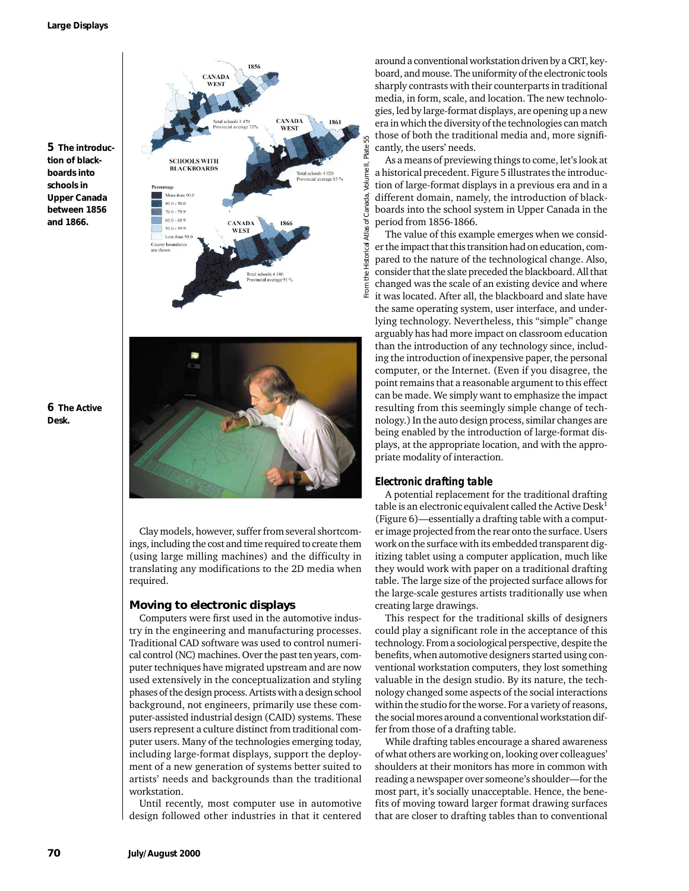**schools in**

**and 1866.**



Clay models, however, suffer from several shortcomings, including the cost and time required to create them (using large milling machines) and the difficulty in translating any modifications to the 2D media when required.

### **Moving to electronic displays**

Computers were first used in the automotive industry in the engineering and manufacturing processes. Traditional CAD software was used to control numerical control (NC) machines. Over the past ten years, computer techniques have migrated upstream and are now used extensively in the conceptualization and styling phases of the design process. Artists with a design school background, not engineers, primarily use these computer-assisted industrial design (CAID) systems. These users represent a culture distinct from traditional computer users. Many of the technologies emerging today, including large-format displays, support the deployment of a new generation of systems better suited to artists' needs and backgrounds than the traditional workstation.

Until recently, most computer use in automotive design followed other industries in that it centered

around a conventional workstation driven by a CRT, keyboard, and mouse. The uniformity of the electronic tools sharply contrasts with their counterparts in traditional media, in form, scale, and location. The new technologies, led by large-format displays, are opening up a new era in which the diversity of the technologies can match those of both the traditional media and, more significantly, the users' needs.

As a means of previewing things to come, let's look at a historical precedent. Figure 5 illustrates the introduction of large-format displays in a previous era and in a different domain, namely, the introduction of blackboards into the school system in Upper Canada in the period from 1856-1866.

The value of this example emerges when we consider the impact that this transition had on education, compared to the nature of the technological change. Also, consider that the slate preceded the blackboard. All that changed was the scale of an existing device and where it was located. After all, the blackboard and slate have the same operating system, user interface, and underlying technology. Nevertheless, this "simple" change arguably has had more impact on classroom education than the introduction of any technology since, including the introduction of inexpensive paper, the personal computer, or the Internet. (Even if you disagree, the point remains that a reasonable argument to this effect can be made. We simply want to emphasize the impact resulting from this seemingly simple change of technology.) In the auto design process, similar changes are being enabled by the introduction of large-format displays, at the appropriate location, and with the appropriate modality of interaction.

# *Electronic drafting table*

A potential replacement for the traditional drafting table is an electronic equivalent called the Active Desk<sup>1</sup> (Figure 6)—essentially a drafting table with a computer image projected from the rear onto the surface. Users work on the surface with its embedded transparent digitizing tablet using a computer application, much like they would work with paper on a traditional drafting table. The large size of the projected surface allows for the large-scale gestures artists traditionally use when creating large drawings.

This respect for the traditional skills of designers could play a significant role in the acceptance of this technology. From a sociological perspective, despite the benefits, when automotive designers started using conventional workstation computers, they lost something valuable in the design studio. By its nature, the technology changed some aspects of the social interactions within the studio for the worse. For a variety of reasons, the social mores around a conventional workstation differ from those of a drafting table.

While drafting tables encourage a shared awareness of what others are working on, looking over colleagues' shoulders at their monitors has more in common with reading a newspaper over someone's shoulder—for the most part, it's socially unacceptable. Hence, the benefits of moving toward larger format drawing surfaces that are closer to drafting tables than to conventional

**6 The Active Desk.**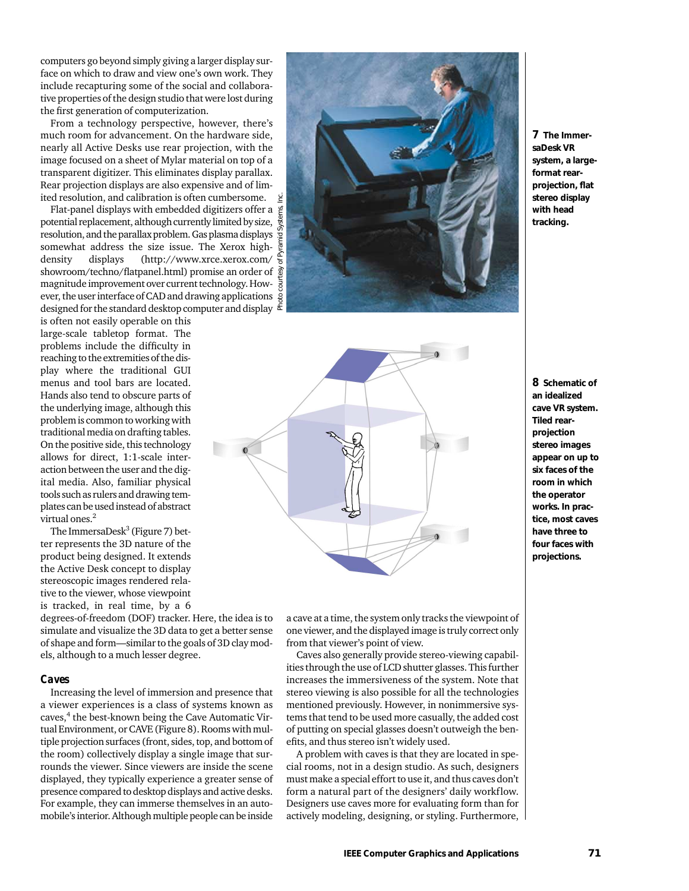computers go beyond simply giving a larger display surface on which to draw and view one's own work. They include recapturing some of the social and collaborative properties of the design studio that were lost during the first generation of computerization.

From a technology perspective, however, there's much room for advancement. On the hardware side, nearly all Active Desks use rear projection, with the image focused on a sheet of Mylar material on top of a transparent digitizer. This eliminates display parallax. Rear projection displays are also expensive and of limited resolution, and calibration is often cumbersome.

Flat-panel displays with embedded digitizers offer a  $\hat{\epsilon}$ potential replacement, although currently limited by size, resolution, and the parallax problem. Gas plasma displays somewhat address the size issue. The Xerox highdensity displays (http://www.xrce.xerox.com/ showroom/techno/flatpanel.html) promise an order of  $\frac{2}{9}$ magnitude improvement over current technology. However, the user interface of CAD and drawing applications  $\frac{8}{5}$ designed for the standard desktop computer and display  $\frac{8}{5}$ 

is often not easily operable on this large-scale tabletop format. The problems include the difficulty in reaching to the extremities of the display where the traditional GUI menus and tool bars are located. Hands also tend to obscure parts of the underlying image, although this problem is common to working with traditional media on drafting tables. On the positive side, this technology allows for direct, 1:1-scale interaction between the user and the digital media. Also, familiar physical tools such as rulers and drawing templates can be used instead of abstract virtual ones.<sup>2</sup>

The ImmersaDesk<sup>3</sup> (Figure 7) better represents the 3D nature of the product being designed. It extends the Active Desk concept to display stereoscopic images rendered relative to the viewer, whose viewpoint is tracked, in real time, by a 6

degrees-of-freedom (DOF) tracker. Here, the idea is to simulate and visualize the 3D data to get a better sense of shape and form—similar to the goals of 3D clay models, although to a much lesser degree.

#### *Caves*

Increasing the level of immersion and presence that a viewer experiences is a class of systems known as caves,<sup>4</sup> the best-known being the Cave Automatic Virtual Environment, or CAVE (Figure 8). Rooms with multiple projection surfaces (front, sides, top, and bottom of the room) collectively display a single image that surrounds the viewer. Since viewers are inside the scene displayed, they typically experience a greater sense of presence compared to desktop displays and active desks. For example, they can immerse themselves in an automobile's interior. Although multiple people can be inside





**7 The ImmersaDesk VR system, a largeformat rearprojection, flat stereo display with head tracking.**

**8 Schematic of an idealized cave VR system. Tiled rearprojection stereo images appear on up to six faces of the room in which the operator works. In practice, most caves have three to four faces with projections.**

a cave at a time, the system only tracks the viewpoint of one viewer, and the displayed image is truly correct only from that viewer's point of view.

Caves also generally provide stereo-viewing capabilities through the use of LCD shutter glasses. This further increases the immersiveness of the system. Note that stereo viewing is also possible for all the technologies mentioned previously. However, in nonimmersive systems that tend to be used more casually, the added cost of putting on special glasses doesn't outweigh the benefits, and thus stereo isn't widely used.

A problem with caves is that they are located in special rooms, not in a design studio. As such, designers must make a special effort to use it, and thus caves don't form a natural part of the designers' daily workflow. Designers use caves more for evaluating form than for actively modeling, designing, or styling. Furthermore,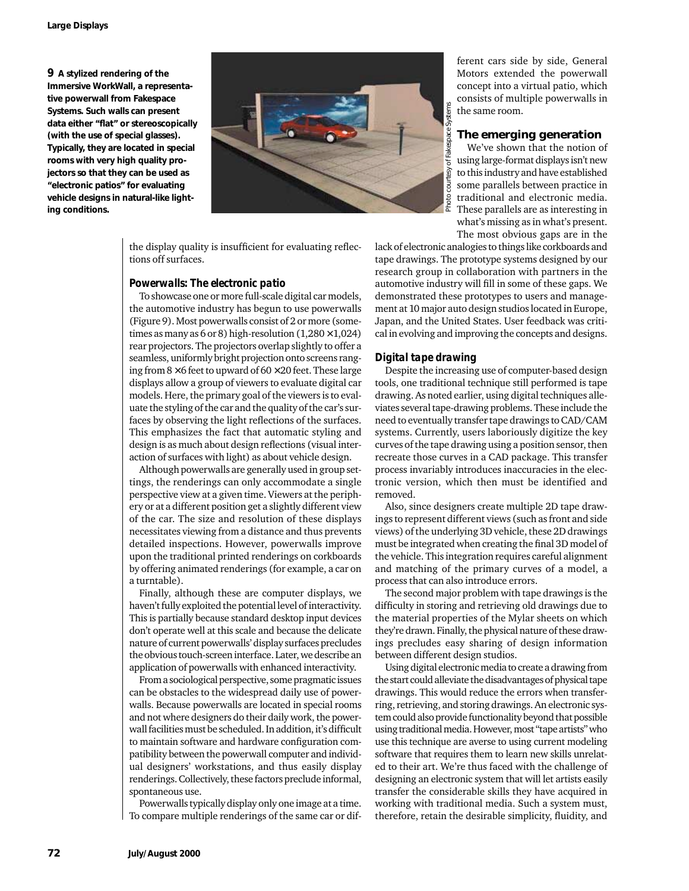**9 A stylized rendering of the Immersive WorkWall, a representative powerwall from Fakespace Systems. Such walls can present data either "flat" or stereoscopically (with the use of special glasses). Typically, they are located in special rooms with very high quality projectors so that they can be used as "electronic patios" for evaluating vehicle designs in natural-like lighting conditions.** 



the display quality is insufficient for evaluating reflections off surfaces.

#### *Powerwalls: The electronic patio*

To showcase one or more full-scale digital car models, the automotive industry has begun to use powerwalls (Figure 9). Most powerwalls consist of 2 or more (sometimes as many as 6 or 8) high-resolution  $(1,280 \times 1,024)$ rear projectors. The projectors overlap slightly to offer a seamless, uniformly bright projection onto screens ranging from  $8 \times 6$  feet to upward of  $60 \times 20$  feet. These large displays allow a group of viewers to evaluate digital car models. Here, the primary goal of the viewers is to evaluate the styling of the car and the quality of the car's surfaces by observing the light reflections of the surfaces. This emphasizes the fact that automatic styling and design is as much about design reflections (visual interaction of surfaces with light) as about vehicle design.

Although powerwalls are generally used in group settings, the renderings can only accommodate a single perspective view at a given time. Viewers at the periphery or at a different position get a slightly different view of the car. The size and resolution of these displays necessitates viewing from a distance and thus prevents detailed inspections. However, powerwalls improve upon the traditional printed renderings on corkboards by offering animated renderings (for example, a car on a turntable).

Finally, although these are computer displays, we haven't fully exploited the potential level of interactivity. This is partially because standard desktop input devices don't operate well at this scale and because the delicate nature of current powerwalls' display surfaces precludes the obvious touch-screen interface. Later, we describe an application of powerwalls with enhanced interactivity.

From a sociological perspective, some pragmatic issues can be obstacles to the widespread daily use of powerwalls. Because powerwalls are located in special rooms and not where designers do their daily work, the powerwall facilities must be scheduled. In addition, it's difficult to maintain software and hardware configuration compatibility between the powerwall computer and individual designers' workstations, and thus easily display renderings. Collectively, these factors preclude informal, spontaneous use.

Powerwalls typically display only one image at a time. To compare multiple renderings of the same car or different cars side by side, General Motors extended the powerwall concept into a virtual patio, which consists of multiple powerwalls in the same room.

# **The emerging generation**

We've shown that the notion of using large-format displays isn't new to this industry and have established some parallels between practice in traditional and electronic media. These parallels are as interesting in what's missing as in what's present. The most obvious gaps are in the

lack of electronic analogies to things like corkboards and tape drawings. The prototype systems designed by our research group in collaboration with partners in the automotive industry will fill in some of these gaps. We demonstrated these prototypes to users and management at 10 major auto design studios located in Europe, Japan, and the United States. User feedback was critical in evolving and improving the concepts and designs.

# *Digital tape drawing*

Despite the increasing use of computer-based design tools, one traditional technique still performed is tape drawing. As noted earlier, using digital techniques alleviates several tape-drawing problems. These include the need to eventually transfer tape drawings to CAD/CAM systems. Currently, users laboriously digitize the key curves of the tape drawing using a position sensor, then recreate those curves in a CAD package. This transfer process invariably introduces inaccuracies in the electronic version, which then must be identified and removed.

Also, since designers create multiple 2D tape drawings to represent different views (such as front and side views) of the underlying 3D vehicle, these 2D drawings must be integrated when creating the final 3D model of the vehicle. This integration requires careful alignment and matching of the primary curves of a model, a process that can also introduce errors.

The second major problem with tape drawings is the difficulty in storing and retrieving old drawings due to the material properties of the Mylar sheets on which they're drawn. Finally, the physical nature of these drawings precludes easy sharing of design information between different design studios.

Using digital electronic media to create a drawing from the start could alleviate the disadvantages of physical tape drawings. This would reduce the errors when transferring, retrieving, and storing drawings. An electronic system could also provide functionality beyond that possible using traditional media. However, most "tape artists" who use this technique are averse to using current modeling software that requires them to learn new skills unrelated to their art. We're thus faced with the challenge of designing an electronic system that will let artists easily transfer the considerable skills they have acquired in working with traditional media. Such a system must, therefore, retain the desirable simplicity, fluidity, and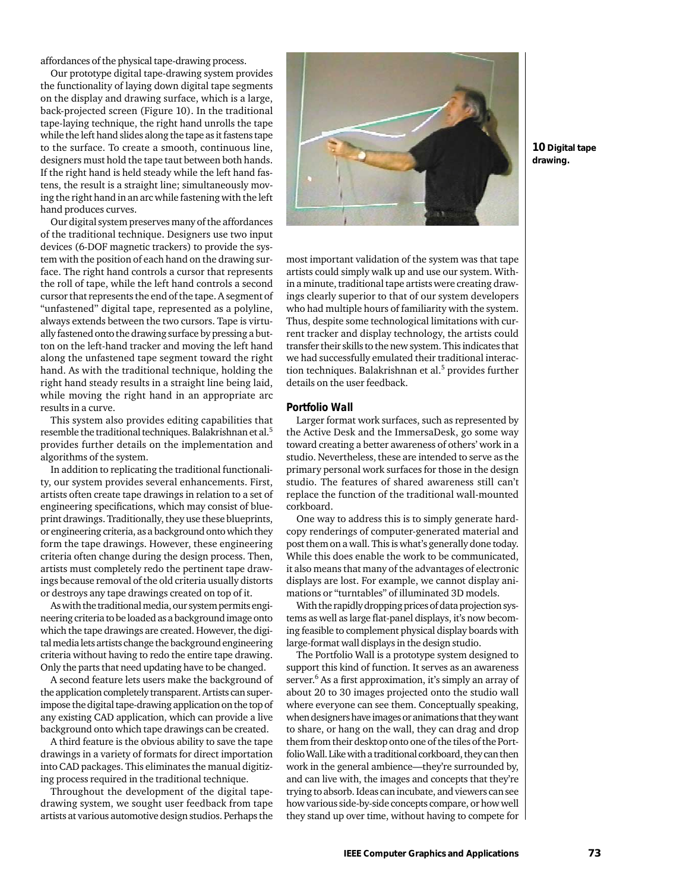affordances of the physical tape-drawing process.

Our prototype digital tape-drawing system provides the functionality of laying down digital tape segments on the display and drawing surface, which is a large, back-projected screen (Figure 10). In the traditional tape-laying technique, the right hand unrolls the tape while the left hand slides along the tape as it fastens tape to the surface. To create a smooth, continuous line, designers must hold the tape taut between both hands. If the right hand is held steady while the left hand fastens, the result is a straight line; simultaneously moving the right hand in an arc while fastening with the left hand produces curves.

Our digital system preserves many of the affordances of the traditional technique. Designers use two input devices (6-DOF magnetic trackers) to provide the system with the position of each hand on the drawing surface. The right hand controls a cursor that represents the roll of tape, while the left hand controls a second cursor that represents the end of the tape. A segment of "unfastened" digital tape, represented as a polyline, always extends between the two cursors. Tape is virtually fastened onto the drawing surface by pressing a button on the left-hand tracker and moving the left hand along the unfastened tape segment toward the right hand. As with the traditional technique, holding the right hand steady results in a straight line being laid, while moving the right hand in an appropriate arc results in a curve.

This system also provides editing capabilities that resemble the traditional techniques. Balakrishnan et al.5 provides further details on the implementation and algorithms of the system.

In addition to replicating the traditional functionality, our system provides several enhancements. First, artists often create tape drawings in relation to a set of engineering specifications, which may consist of blueprint drawings. Traditionally, they use these blueprints, or engineering criteria, as a background onto which they form the tape drawings. However, these engineering criteria often change during the design process. Then, artists must completely redo the pertinent tape drawings because removal of the old criteria usually distorts or destroys any tape drawings created on top of it.

As with the traditional media, our system permits engineering criteria to be loaded as a background image onto which the tape drawings are created. However, the digital media lets artists change the background engineering criteria without having to redo the entire tape drawing. Only the parts that need updating have to be changed.

A second feature lets users make the background of the application completely transparent. Artists can superimpose the digital tape-drawing application on the top of any existing CAD application, which can provide a live background onto which tape drawings can be created.

A third feature is the obvious ability to save the tape drawings in a variety of formats for direct importation into CAD packages. This eliminates the manual digitizing process required in the traditional technique.

Throughout the development of the digital tapedrawing system, we sought user feedback from tape artists at various automotive design studios. Perhaps the



most important validation of the system was that tape artists could simply walk up and use our system. Within a minute, traditional tape artists were creating drawings clearly superior to that of our system developers who had multiple hours of familiarity with the system. Thus, despite some technological limitations with current tracker and display technology, the artists could transfer their skills to the new system. This indicates that we had successfully emulated their traditional interaction techniques. Balakrishnan et al.<sup>5</sup> provides further details on the user feedback.

# *Portfolio Wall*

Larger format work surfaces, such as represented by the Active Desk and the ImmersaDesk, go some way toward creating a better awareness of others' work in a studio. Nevertheless, these are intended to serve as the primary personal work surfaces for those in the design studio. The features of shared awareness still can't replace the function of the traditional wall-mounted corkboard.

One way to address this is to simply generate hardcopy renderings of computer-generated material and post them on a wall. This is what's generally done today. While this does enable the work to be communicated, it also means that many of the advantages of electronic displays are lost. For example, we cannot display animations or "turntables" of illuminated 3D models.

With the rapidly dropping prices of data projection systems as well as large flat-panel displays, it's now becoming feasible to complement physical display boards with large-format wall displays in the design studio.

The Portfolio Wall is a prototype system designed to support this kind of function. It serves as an awareness server.<sup>6</sup> As a first approximation, it's simply an array of about 20 to 30 images projected onto the studio wall where everyone can see them. Conceptually speaking, when designers have images or animations that they want to share, or hang on the wall, they can drag and drop them from their desktop onto one of the tiles of the Portfolio Wall. Like with a traditional corkboard, they can then work in the general ambience—they're surrounded by, and can live with, the images and concepts that they're trying to absorb. Ideas can incubate, and viewers can see how various side-by-side concepts compare, or how well they stand up over time, without having to compete for **10 Digital tape drawing.**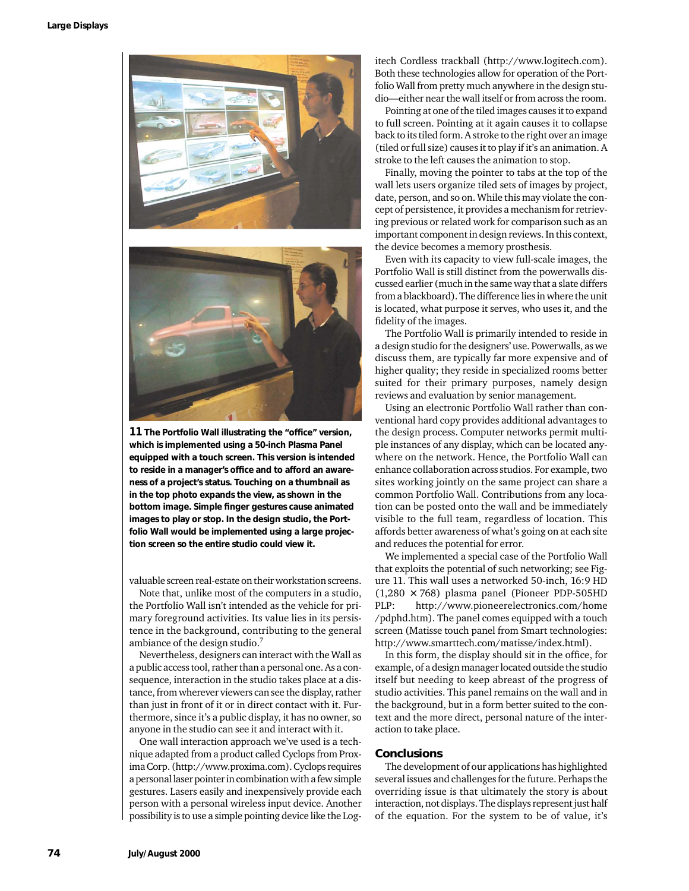#### **Large Displays**



**11 The Portfolio Wall illustrating the "office" version, which is implemented using a 50-inch Plasma Panel equipped with a touch screen. This version is intended to reside in a manager's office and to afford an awareness of a project's status. Touching on a thumbnail as in the top photo expands the view, as shown in the bottom image. Simple finger gestures cause animated images to play or stop. In the design studio, the Portfolio Wall would be implemented using a large projection screen so the entire studio could view it.**

valuable screen real-estate on their workstation screens.

Note that, unlike most of the computers in a studio, the Portfolio Wall isn't intended as the vehicle for primary foreground activities. Its value lies in its persistence in the background, contributing to the general ambiance of the design studio.7

Nevertheless, designers can interact with the Wall as a public access tool, rather than a personal one. As a consequence, interaction in the studio takes place at a distance, from wherever viewers can see the display, rather than just in front of it or in direct contact with it. Furthermore, since it's a public display, it has no owner, so anyone in the studio can see it and interact with it.

One wall interaction approach we've used is a technique adapted from a product called Cyclops from Proxima Corp. (http://www.proxima.com). Cyclops requires a personal laser pointer in combination with a few simple gestures. Lasers easily and inexpensively provide each person with a personal wireless input device. Another possibility is to use a simple pointing device like the Log-

itech Cordless trackball (http://www.logitech.com). Both these technologies allow for operation of the Portfolio Wall from pretty much anywhere in the design studio—either near the wall itself or from across the room.

Pointing at one of the tiled images causes it to expand to full screen. Pointing at it again causes it to collapse back to its tiled form. A stroke to the right over an image (tiled or full size) causes it to play if it's an animation. A stroke to the left causes the animation to stop.

Finally, moving the pointer to tabs at the top of the wall lets users organize tiled sets of images by project, date, person, and so on. While this may violate the concept of persistence, it provides a mechanism for retrieving previous or related work for comparison such as an important component in design reviews. In this context, the device becomes a memory prosthesis.

Even with its capacity to view full-scale images, the Portfolio Wall is still distinct from the powerwalls discussed earlier (much in the same way that a slate differs from a blackboard). The difference lies in where the unit is located, what purpose it serves, who uses it, and the fidelity of the images.

The Portfolio Wall is primarily intended to reside in a design studio for the designers' use. Powerwalls, as we discuss them, are typically far more expensive and of higher quality; they reside in specialized rooms better suited for their primary purposes, namely design reviews and evaluation by senior management.

Using an electronic Portfolio Wall rather than conventional hard copy provides additional advantages to the design process. Computer networks permit multiple instances of any display, which can be located anywhere on the network. Hence, the Portfolio Wall can enhance collaboration across studios. For example, two sites working jointly on the same project can share a common Portfolio Wall. Contributions from any location can be posted onto the wall and be immediately visible to the full team, regardless of location. This affords better awareness of what's going on at each site and reduces the potential for error.

We implemented a special case of the Portfolio Wall that exploits the potential of such networking; see Figure 11. This wall uses a networked 50-inch, 16:9 HD  $(1,280 \times 768)$  plasma panel (Pioneer PDP-505HD PLP: http://www.pioneerelectronics.com/home /pdphd.htm). The panel comes equipped with a touch screen (Matisse touch panel from Smart technologies: http://www.smarttech.com/matisse/index.html).

In this form, the display should sit in the office, for example, of a design manager located outside the studio itself but needing to keep abreast of the progress of studio activities. This panel remains on the wall and in the background, but in a form better suited to the context and the more direct, personal nature of the interaction to take place.

## **Conclusions**

The development of our applications has highlighted several issues and challenges for the future. Perhaps the overriding issue is that ultimately the story is about interaction, not displays. The displays represent just half of the equation. For the system to be of value, it's